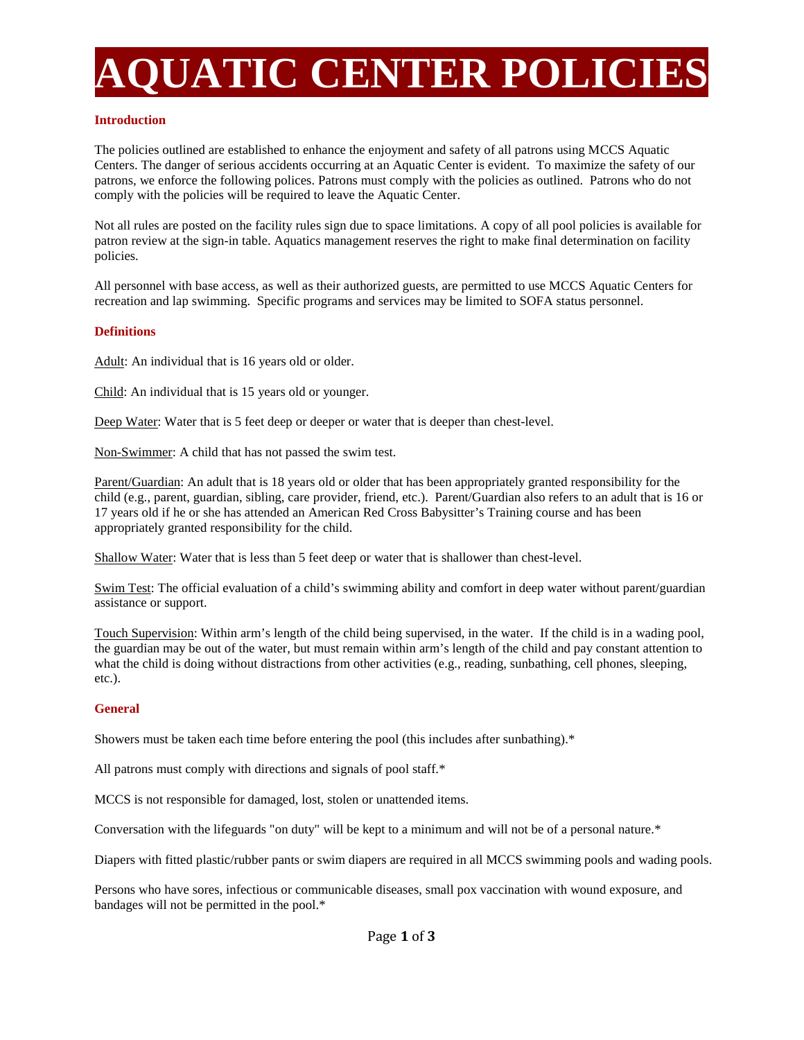# **AQUATIC CENTER POLICIES**

## **Introduction**

The policies outlined are established to enhance the enjoyment and safety of all patrons using MCCS Aquatic Centers. The danger of serious accidents occurring at an Aquatic Center is evident. To maximize the safety of our patrons, we enforce the following polices. Patrons must comply with the policies as outlined. Patrons who do not comply with the policies will be required to leave the Aquatic Center.

Not all rules are posted on the facility rules sign due to space limitations. A copy of all pool policies is available for patron review at the sign-in table. Aquatics management reserves the right to make final determination on facility policies.

All personnel with base access, as well as their authorized guests, are permitted to use MCCS Aquatic Centers for recreation and lap swimming. Specific programs and services may be limited to SOFA status personnel.

## **Definitions**

Adult: An individual that is 16 years old or older.

Child: An individual that is 15 years old or younger.

Deep Water: Water that is 5 feet deep or deeper or water that is deeper than chest-level.

Non-Swimmer: A child that has not passed the swim test.

Parent/Guardian: An adult that is 18 years old or older that has been appropriately granted responsibility for the child (e.g., parent, guardian, sibling, care provider, friend, etc.). Parent/Guardian also refers to an adult that is 16 or 17 years old if he or she has attended an American Red Cross Babysitter's Training course and has been appropriately granted responsibility for the child.

Shallow Water: Water that is less than 5 feet deep or water that is shallower than chest-level.

Swim Test: The official evaluation of a child's swimming ability and comfort in deep water without parent/guardian assistance or support.

Touch Supervision: Within arm's length of the child being supervised, in the water. If the child is in a wading pool, the guardian may be out of the water, but must remain within arm's length of the child and pay constant attention to what the child is doing without distractions from other activities (e.g., reading, sunbathing, cell phones, sleeping, etc.).

## **General**

Showers must be taken each time before entering the pool (this includes after sunbathing).\*

All patrons must comply with directions and signals of pool staff.\*

MCCS is not responsible for damaged, lost, stolen or unattended items.

Conversation with the lifeguards "on duty" will be kept to a minimum and will not be of a personal nature.\*

Diapers with fitted plastic/rubber pants or swim diapers are required in all MCCS swimming pools and wading pools.

Persons who have sores, infectious or communicable diseases, small pox vaccination with wound exposure, and bandages will not be permitted in the pool.\*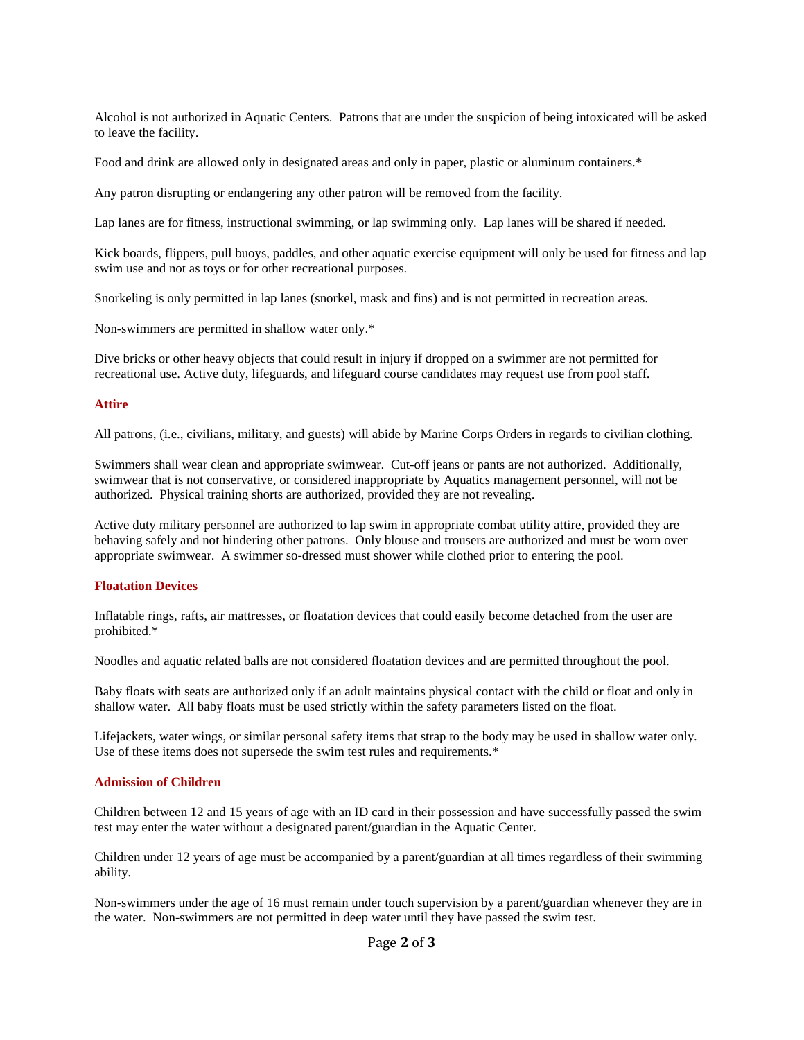Alcohol is not authorized in Aquatic Centers. Patrons that are under the suspicion of being intoxicated will be asked to leave the facility.

Food and drink are allowed only in designated areas and only in paper, plastic or aluminum containers.\*

Any patron disrupting or endangering any other patron will be removed from the facility.

Lap lanes are for fitness, instructional swimming, or lap swimming only. Lap lanes will be shared if needed.

Kick boards, flippers, pull buoys, paddles, and other aquatic exercise equipment will only be used for fitness and lap swim use and not as toys or for other recreational purposes.

Snorkeling is only permitted in lap lanes (snorkel, mask and fins) and is not permitted in recreation areas.

Non-swimmers are permitted in shallow water only.\*

Dive bricks or other heavy objects that could result in injury if dropped on a swimmer are not permitted for recreational use. Active duty, lifeguards, and lifeguard course candidates may request use from pool staff.

#### **Attire**

All patrons, (i.e., civilians, military, and guests) will abide by Marine Corps Orders in regards to civilian clothing.

Swimmers shall wear clean and appropriate swimwear. Cut-off jeans or pants are not authorized. Additionally, swimwear that is not conservative, or considered inappropriate by Aquatics management personnel, will not be authorized. Physical training shorts are authorized, provided they are not revealing.

Active duty military personnel are authorized to lap swim in appropriate combat utility attire, provided they are behaving safely and not hindering other patrons. Only blouse and trousers are authorized and must be worn over appropriate swimwear. A swimmer so-dressed must shower while clothed prior to entering the pool.

#### **Floatation Devices**

Inflatable rings, rafts, air mattresses, or floatation devices that could easily become detached from the user are prohibited.\*

Noodles and aquatic related balls are not considered floatation devices and are permitted throughout the pool.

Baby floats with seats are authorized only if an adult maintains physical contact with the child or float and only in shallow water. All baby floats must be used strictly within the safety parameters listed on the float.

Lifejackets, water wings, or similar personal safety items that strap to the body may be used in shallow water only. Use of these items does not supersede the swim test rules and requirements.\*

## **Admission of Children**

Children between 12 and 15 years of age with an ID card in their possession and have successfully passed the swim test may enter the water without a designated parent/guardian in the Aquatic Center.

Children under 12 years of age must be accompanied by a parent/guardian at all times regardless of their swimming ability.

Non-swimmers under the age of 16 must remain under touch supervision by a parent/guardian whenever they are in the water. Non-swimmers are not permitted in deep water until they have passed the swim test.